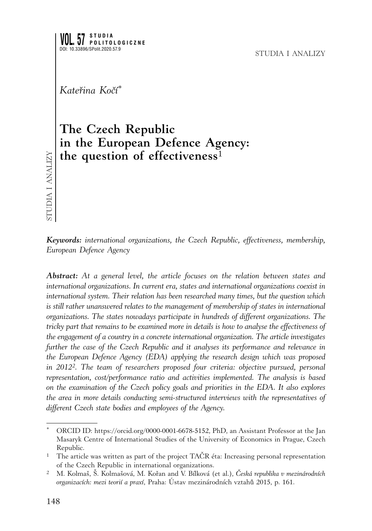*Kateřina Kočí \**

# **The Czech Republic in the European Defence Agency: the question of effectiveness**<sup>1</sup>

studia i analizy STUDIA I ANALIZY

*Keywords: international organizations, the Czech Republic, effectiveness, membership, European Defence Agency* 

*Abstract: At a general level, the article focuses on the relation between states and international organizations. In current era, states and international organizations coexist in international system. Their relation has been researched many times, but the question which*  is still rather unanswered relates to the management of membership of states in international *organizations. The states nowadays participate in hundreds of different organizations. The tricky part that remains to be examined more in details is how to analyse the effectiveness of the engagement of a country in a concrete international organization. The article investigates further the case of the Czech Republic and it analyses its performance and relevance in the European Defence Agency (EDA) applying the research design which was proposed in 20122. The team of researchers proposed four criteria: objective pursued, personal representation, cost/performance ratio and activities implemented. The analysis is based on the examination of the Czech policy goals and priorities in the EDA. It also explores the area in more details conducting semi-structured interviews with the representatives of different Czech state bodies and employees of the Agency.*

ORCID ID: https://orcid.org/0000-0001-6678-5152, PhD, an Assistant Professor at the Jan Masaryk Centre of International Studies of the University of Economics in Prague, Czech Republic.

<sup>&</sup>lt;sup>1</sup> The article was written as part of the project TAČR éta: Increasing personal representation of the Czech Republic in international organizations.

<sup>2</sup> M. Kolmaš, Š. Kolmašová, M. Kořan and V. Bílková (et al.), *Česká republika v mezinárodních organizacích: mezi teorií a praxí*, Praha: Ústav mezinárodních vztahů 2015, p. 161.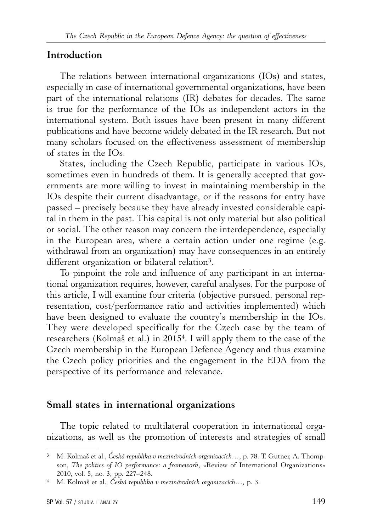#### **Introduction**

The relations between international organizations (IOs) and states, especially in case of international governmental organizations, have been part of the international relations (IR) debates for decades. The same is true for the performance of the IOs as independent actors in the international system. Both issues have been present in many different publications and have become widely debated in the IR research. But not many scholars focused on the effectiveness assessment of membership of states in the IOs.

States, including the Czech Republic, participate in various IOs, sometimes even in hundreds of them. It is generally accepted that governments are more willing to invest in maintaining membership in the IOs despite their current disadvantage, or if the reasons for entry have passed – precisely because they have already invested considerable capital in them in the past. This capital is not only material but also political or social. The other reason may concern the interdependence, especially in the European area, where a certain action under one regime (e.g. withdrawal from an organization) may have consequences in an entirely different organization or bilateral relation3.

To pinpoint the role and influence of any participant in an international organization requires, however, careful analyses. For the purpose of this article, I will examine four criteria (objective pursued, personal representation, cost/performance ratio and activities implemented) which have been designed to evaluate the country's membership in the IOs. They were developed specifically for the Czech case by the team of researchers (Kolmaš et al.) in 20154. I will apply them to the case of the Czech membership in the European Defence Agency and thus examine the Czech policy priorities and the engagement in the EDA from the perspective of its performance and relevance.

#### **Small states in international organizations**

The topic related to multilateral cooperation in international organizations, as well as the promotion of interests and strategies of small

<sup>3</sup> M. Kolmaš et al., *Česká republika v mezinárodních organizacích…*, p. 78. T. Gutner, A. Thompson, *The politics of IO performance: a framework*, «Review of International Organizations» 2010, vol. 5, no. 3, pp. 227–248.

<sup>4</sup> M. Kolmaš et al., *Česká republika v mezinárodních organizacích…*, p. 3.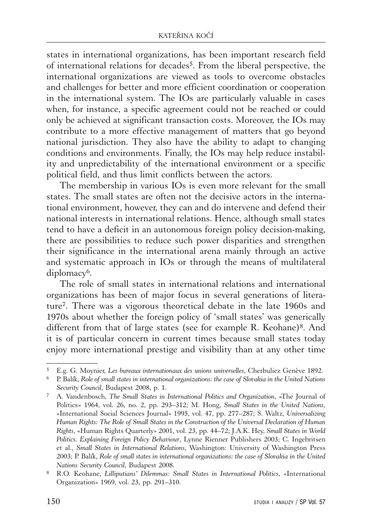states in international organizations, has been important research field of international relations for decades5. From the liberal perspective, the international organizations are viewed as tools to overcome obstacles and challenges for better and more efficient coordination or cooperation in the international system. The IOs are particularly valuable in cases when, for instance, a specific agreement could not be reached or could only be achieved at significant transaction costs. Moreover, the IOs may contribute to a more effective management of matters that go beyond national jurisdiction. They also have the ability to adapt to changing conditions and environments. Finally, the IOs may help reduce instability and unpredictability of the international environment or a specific political field, and thus limit conflicts between the actors.

The membership in various IOs is even more relevant for the small states. The small states are often not the decisive actors in the international environment, however, they can and do intervene and defend their national interests in international relations. Hence, although small states tend to have a deficit in an autonomous foreign policy decision-making, there are possibilities to reduce such power disparities and strengthen their significance in the international arena mainly through an active and systematic approach in IOs or through the means of multilateral diplomacy<sup>6</sup>.

The role of small states in international relations and international organizations has been of major focus in several generations of literature7. There was a vigorous theoretical debate in the late 1960s and 1970s about whether the foreign policy of 'small states' was generically different from that of large states (see for example R. Keohane)<sup>8</sup>. And it is of particular concern in current times because small states today enjoy more international prestige and visibility than at any other time

<sup>5</sup> E.g. G. Moynier, *Les bureaux internationaux des unions universelles*, Cherbuliez Genève 1892.

<sup>6</sup> P. Balík, *Role of small states in international organizations: the case of Slovakia in the United Nations Security Council*, Budapest 2008, p. 1.

<sup>7</sup> A. Vandenbosch, *The Small States in International Politics and Organization*, «The Journal of Politics» 1964, vol. 26, no. 2, pp. 293–312; M. Hong, *Small States in the United Nations*, «International Social Sciences Journal» 1995, vol. 47, pp. 277–287; S. Waltz, *Universalizing Human Rights: The Role of Small States in the Construction of the Universal Declaration of Human Rights*, «Human Rights Quarterly» 2001, vol. 23, pp. 44–72; J.A.K. Hey, *Small States in World Politics. Explaining Foreign Policy Behaviour*, Lynne Rienner Publishers 2003; C. Ingebritsen et al., *Small States in International Relations*, Washington: University of Washington Press 2003; P. Balík, *Role of small states in international organizations: the case of Slovakia in the United Nations Security Council*, Budapest 2008.

<sup>8</sup> R.O. Keohane, *Lilliputians' Dilemmas: Small States in International Politics*, «International Organization» 1969, vol. 23, pp. 291–310.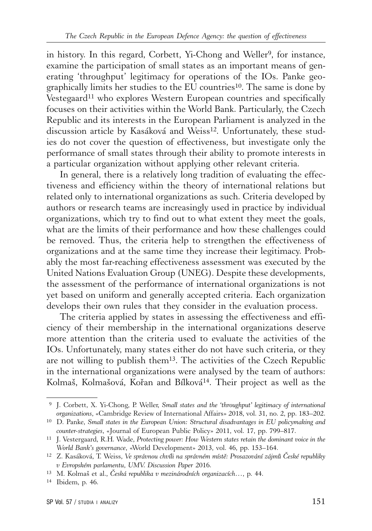in history. In this regard, Corbett, Yi-Chong and Weller9, for instance, examine the participation of small states as an important means of generating 'throughput' legitimacy for operations of the IOs. Panke geographically limits her studies to the EU countries10. The same is done by Vestegaard<sup>11</sup> who explores Western European countries and specifically focuses on their activities within the World Bank. Particularly, the Czech Republic and its interests in the European Parliament is analyzed in the discussion article by Kasáková and Weiss<sup>12</sup>. Unfortunately, these studies do not cover the question of effectiveness, but investigate only the performance of small states through their ability to promote interests in a particular organization without applying other relevant criteria.

In general, there is a relatively long tradition of evaluating the effectiveness and efficiency within the theory of international relations but related only to international organizations as such. Criteria developed by authors or research teams are increasingly used in practice by individual organizations, which try to find out to what extent they meet the goals, what are the limits of their performance and how these challenges could be removed. Thus, the criteria help to strengthen the effectiveness of organizations and at the same time they increase their legitimacy. Probably the most far-reaching effectiveness assessment was executed by the United Nations Evaluation Group (UNEG). Despite these developments, the assessment of the performance of international organizations is not yet based on uniform and generally accepted criteria. Each organization develops their own rules that they consider in the evaluation process.

The criteria applied by states in assessing the effectiveness and efficiency of their membership in the international organizations deserve more attention than the criteria used to evaluate the activities of the IOs. Unfortunately, many states either do not have such criteria, or they are not willing to publish them13. The activities of the Czech Republic in the international organizations were analysed by the team of authors: Kolmaš, Kolmašová, Kořan and Bílková14. Their project as well as the

 <sup>9</sup> J. Corbett, X. Yi-Chong, P. Weller, *Small states and the 'throughput' legitimacy of international organizations*, «Cambridge Review of International Affairs» 2018, vol. 31, no. 2, pp. 183–202.

<sup>10</sup> D. Panke, *Small states in the European Union: Structural disadvantages in EU policymaking and counter-strategies*, «Journal of European Public Policy» 2011, vol. 17, pp. 799–817.

<sup>11</sup> J. Vestergaard, R.H. Wade, *Protecting power: How Western states retain the dominant voice in the World Bank's governance*, «World Development» 2013, vol. 46, pp. 153–164.

<sup>12</sup> Z. Kasáková, T. Weiss, *Ve správnou chvíli na správném místě: Prosazování zájmů České republiky v Evropském parlamentu*, *UMV. Discussion Paper* 2016.

<sup>13</sup> M. Kolmaš et al., *Česká republika v mezinárodních organizacích…*, p. 44.

<sup>14</sup> Ibidem, p. 46.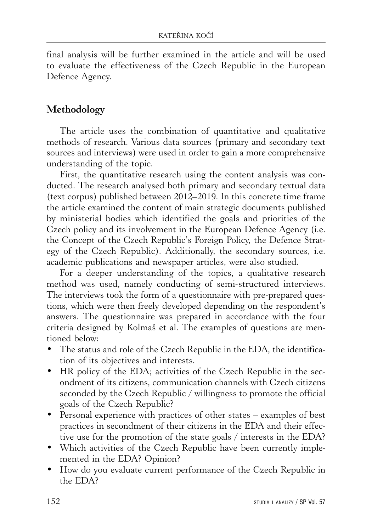final analysis will be further examined in the article and will be used to evaluate the effectiveness of the Czech Republic in the European Defence Agency.

# **Methodology**

The article uses the combination of quantitative and qualitative methods of research. Various data sources (primary and secondary text sources and interviews) were used in order to gain a more comprehensive understanding of the topic.

First, the quantitative research using the content analysis was conducted. The research analysed both primary and secondary textual data (text corpus) published between 2012–2019. In this concrete time frame the article examined the content of main strategic documents published by ministerial bodies which identified the goals and priorities of the Czech policy and its involvement in the European Defence Agency (i.e. the Concept of the Czech Republic's Foreign Policy, the Defence Strategy of the Czech Republic). Additionally, the secondary sources, i.e. academic publications and newspaper articles, were also studied.

For a deeper understanding of the topics, a qualitative research method was used, namely conducting of semi-structured interviews. The interviews took the form of a questionnaire with pre-prepared questions, which were then freely developed depending on the respondent's answers. The questionnaire was prepared in accordance with the four criteria designed by Kolmaš et al. The examples of questions are mentioned below:

- The status and role of the Czech Republic in the EDA, the identification of its objectives and interests.
- HR policy of the EDA; activities of the Czech Republic in the secondment of its citizens, communication channels with Czech citizens seconded by the Czech Republic / willingness to promote the official goals of the Czech Republic?
- Personal experience with practices of other states examples of best practices in secondment of their citizens in the EDA and their effective use for the promotion of the state goals / interests in the EDA?
- Which activities of the Czech Republic have been currently implemented in the EDA? Opinion?
- How do you evaluate current performance of the Czech Republic in the EDA?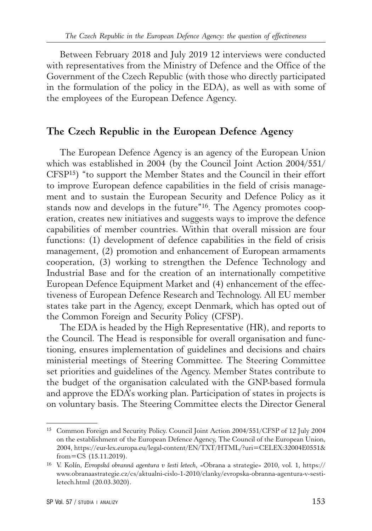Between February 2018 and July 2019 12 interviews were conducted with representatives from the Ministry of Defence and the Office of the Government of the Czech Republic (with those who directly participated in the formulation of the policy in the EDA), as well as with some of the employees of the European Defence Agency.

#### **The Czech Republic in the European Defence Agency**

The European Defence Agency is an agency of the European Union which was established in 2004 (by the Council Joint Action 2004/551/ CFSP15) "to support the Member States and the Council in their effort to improve European defence capabilities in the field of crisis management and to sustain the European Security and Defence Policy as it stands now and develops in the future"16. The Agency promotes cooperation, creates new initiatives and suggests ways to improve the defence capabilities of member countries. Within that overall mission are four functions: (1) development of defence capabilities in the field of crisis management, (2) promotion and enhancement of European armaments cooperation, (3) working to strengthen the Defence Technology and Industrial Base and for the creation of an internationally competitive European Defence Equipment Market and (4) enhancement of the effectiveness of European Defence Research and Technology. All EU member states take part in the Agency, except Denmark, which has opted out of the Common Foreign and Security Policy (CFSP).

The EDA is headed by the High Representative (HR), and reports to the Council. The Head is responsible for overall organisation and functioning, ensures implementation of guidelines and decisions and chairs ministerial meetings of Steering Committee. The Steering Committee set priorities and guidelines of the Agency. Member States contribute to the budget of the organisation calculated with the GNP-based formula and approve the EDA's working plan. Participation of states in projects is on voluntary basis. The Steering Committee elects the Director General

<sup>15</sup> Common Foreign and Security Policy. Council Joint Action 2004/551/CFSP of 12 July 2004 on the establishment of the European Defence Agency, The Council of the European Union, 2004, https://eur-lex.europa.eu/legal-content/EN/TXT/HTML/?uri=CELEX:32004E0551& from=CS (15.11.2019).

<sup>16</sup> V. Kolín, *Evropská obranná agentura v šesti letech*, «Obrana a strategie» 2010, vol. 1, https:// www.obranaastrategie.cz/cs/aktualni-cislo-1-2010/clanky/evropska-obranna-agentura-v-sestiletech.html (20.03.3020).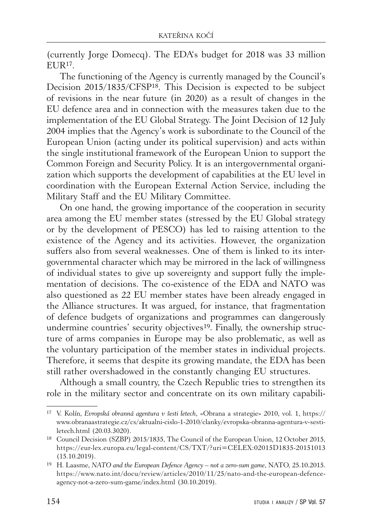(currently Jorge Domecq). The EDA's budget for 2018 was 33 million  $EUIR<sup>17</sup>$ .

The functioning of the Agency is currently managed by the Council's Decision 2015/1835/CFSP18. This Decision is expected to be subject of revisions in the near future (in 2020) as a result of changes in the EU defence area and in connection with the measures taken due to the implementation of the EU Global Strategy. The Joint Decision of 12 July 2004 implies that the Agency's work is subordinate to the Council of the European Union (acting under its political supervision) and acts within the single institutional framework of the European Union to support the Common Foreign and Security Policy. It is an intergovernmental organization which supports the development of capabilities at the EU level in coordination with the European External Action Service, including the Military Staff and the EU Military Committee.

On one hand, the growing importance of the cooperation in security area among the EU member states (stressed by the EU Global strategy or by the development of PESCO) has led to raising attention to the existence of the Agency and its activities. However, the organization suffers also from several weaknesses. One of them is linked to its intergovernmental character which may be mirrored in the lack of willingness of individual states to give up sovereignty and support fully the implementation of decisions. The co-existence of the EDA and NATO was also questioned as 22 EU member states have been already engaged in the Alliance structures. It was argued, for instance, that fragmentation of defence budgets of organizations and programmes can dangerously undermine countries' security objectives<sup>19</sup>. Finally, the ownership structure of arms companies in Europe may be also problematic, as well as the voluntary participation of the member states in individual projects. Therefore, it seems that despite its growing mandate, the EDA has been still rather overshadowed in the constantly changing EU structures.

Although a small country, the Czech Republic tries to strengthen its role in the military sector and concentrate on its own military capabili-

<sup>17</sup> V. Kolín, *Evropská obranná agentura v šesti letech*, «Obrana a strategie» 2010, vol. 1, https:// www.obranaastrategie.cz/cs/aktualni-cislo-1-2010/clanky/evropska-obranna-agentura-v-sestiletech.html (20.03.3020).

<sup>18</sup> Council Decision (SZBP) 2015/1835, The Council of the European Union, 12 October 2015, https://eur-lex.europa.eu/legal-content/CS/TXT/?uri=CELEX:02015D1835-20151013 (15.10.2019).

<sup>19</sup> H. Laasme, *NATO and the European Defence Agency – not a zero-sum game*, NATO, 25.10.2015. https://www.nato.int/docu/review/articles/2010/11/25/nato-and-the-european-defenceagency-not-a-zero-sum-game/index.html (30.10.2019).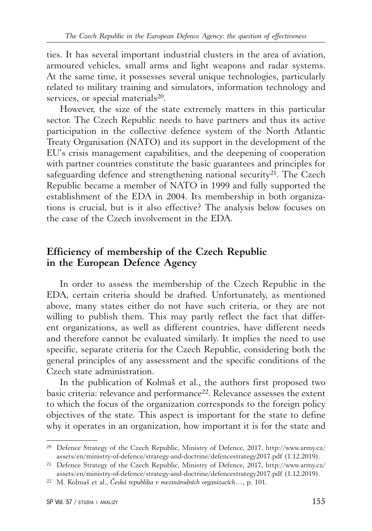ties. It has several important industrial clusters in the area of aviation, armoured vehicles, small arms and light weapons and radar systems. At the same time, it possesses several unique technologies, particularly related to military training and simulators, information technology and services, or special materials<sup>20</sup>.

However, the size of the state extremely matters in this particular sector. The Czech Republic needs to have partners and thus its active participation in the collective defence system of the North Atlantic Treaty Organisation (NATO) and its support in the development of the EU's crisis management capabilities, and the deepening of cooperation with partner countries constitute the basic guarantees and principles for safeguarding defence and strengthening national security<sup>21</sup>. The Czech Republic became a member of NATO in 1999 and fully supported the establishment of the EDA in 2004. Its membership in both organizations is crucial, but is it also effective? The analysis below focuses on the case of the Czech involvement in the EDA.

#### **Efficiency of membership of the Czech Republic in the European Defence Agency**

In order to assess the membership of the Czech Republic in the EDA, certain criteria should be drafted. Unfortunately, as mentioned above, many states either do not have such criteria, or they are not willing to publish them. This may partly reflect the fact that different organizations, as well as different countries, have different needs and therefore cannot be evaluated similarly. It implies the need to use specific, separate criteria for the Czech Republic, considering both the general principles of any assessment and the specific conditions of the Czech state administration.

In the publication of Kolmaš et al., the authors first proposed two basic criteria: relevance and performance<sup>22</sup>. Relevance assesses the extent to which the focus of the organization corresponds to the foreign policy objectives of the state. This aspect is important for the state to define why it operates in an organization, how important it is for the state and

<sup>20</sup> Defence Strategy of the Czech Republic, Ministry of Defence, 2017, http://www.army.cz/ assets/en/ministry-of-defence/strategy-and-doctrine/defencestrategy2017.pdf (1.12.2019).

<sup>21</sup> Defence Strategy of the Czech Republic, Ministry of Defence, 2017, http://www.army.cz/ assets/en/ministry-of-defence/strategy-and-doctrine/defencestrategy2017.pdf (1.12.2019).

<sup>22</sup> M. Kolmaš et al., *Česká republika v mezinárodních organizacích…*, p. 101.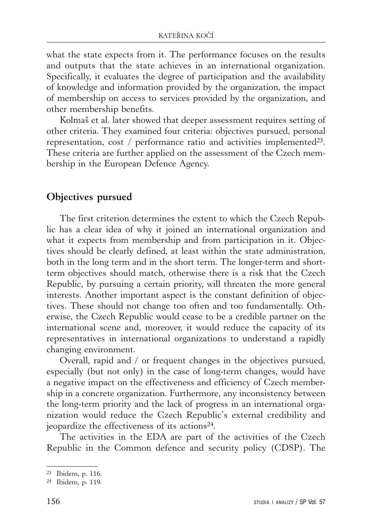what the state expects from it. The performance focuses on the results and outputs that the state achieves in an international organization. Specifically, it evaluates the degree of participation and the availability of knowledge and information provided by the organization, the impact of membership on access to services provided by the organization, and other membership benefits.

Kolmaš et al. later showed that deeper assessment requires setting of other criteria. They examined four criteria: objectives pursued, personal representation,  $cost / performance ratio and activities implemented<sup>23</sup>.$ These criteria are further applied on the assessment of the Czech membership in the European Defence Agency.

### **Objectives pursued**

The first criterion determines the extent to which the Czech Republic has a clear idea of why it joined an international organization and what it expects from membership and from participation in it. Objectives should be clearly defined, at least within the state administration, both in the long term and in the short term. The longer-term and shortterm objectives should match, otherwise there is a risk that the Czech Republic, by pursuing a certain priority, will threaten the more general interests. Another important aspect is the constant definition of objectives. These should not change too often and too fundamentally. Otherwise, the Czech Republic would cease to be a credible partner on the international scene and, moreover, it would reduce the capacity of its representatives in international organizations to understand a rapidly changing environment.

Overall, rapid and / or frequent changes in the objectives pursued, especially (but not only) in the case of long-term changes, would have a negative impact on the effectiveness and efficiency of Czech membership in a concrete organization. Furthermore, any inconsistency between the long-term priority and the lack of progress in an international organization would reduce the Czech Republic's external credibility and jeopardize the effectiveness of its actions24.

The activities in the EDA are part of the activities of the Czech Republic in the Common defence and security policy (CDSP). The

<sup>23</sup> Ibidem, p. 116.

<sup>24</sup> Ibidem, p. 119.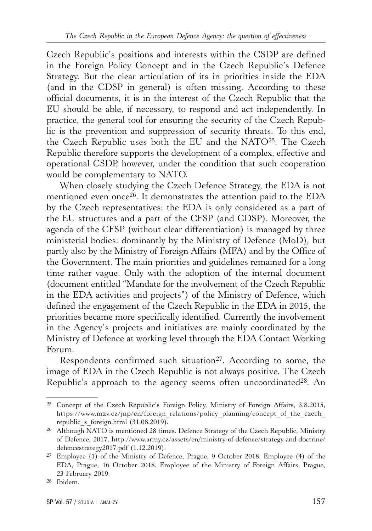Czech Republic's positions and interests within the CSDP are defined in the Foreign Policy Concept and in the Czech Republic's Defence Strategy. But the clear articulation of its in priorities inside the EDA (and in the CDSP in general) is often missing. According to these official documents, it is in the interest of the Czech Republic that the EU should be able, if necessary, to respond and act independently. In practice, the general tool for ensuring the security of the Czech Republic is the prevention and suppression of security threats. To this end, the Czech Republic uses both the EU and the NATO25. The Czech Republic therefore supports the development of a complex, effective and operational CSDP, however, under the condition that such cooperation would be complementary to NATO.

When closely studying the Czech Defence Strategy, the EDA is not mentioned even once26. It demonstrates the attention paid to the EDA by the Czech representatives: the EDA is only considered as a part of the EU structures and a part of the CFSP (and CDSP). Moreover, the agenda of the CFSP (without clear differentiation) is managed by three ministerial bodies: dominantly by the Ministry of Defence (MoD), but partly also by the Ministry of Foreign Affairs (MFA) and by the Office of the Government. The main priorities and guidelines remained for a long time rather vague. Only with the adoption of the internal document (document entitled "Mandate for the involvement of the Czech Republic in the EDA activities and projects") of the Ministry of Defence, which defined the engagement of the Czech Republic in the EDA in 2015, the priorities became more specifically identified. Currently the involvement in the Agency's projects and initiatives are mainly coordinated by the Ministry of Defence at working level through the EDA Contact Working Forum.

Respondents confirmed such situation<sup>27</sup>. According to some, the image of EDA in the Czech Republic is not always positive. The Czech Republic's approach to the agency seems often uncoordinated<sup>28</sup>. An

<sup>25</sup> Concept of the Czech Republic's Foreign Policy, Ministry of Foreign Affairs, 3.8.2015, https://www.mzv.cz/jnp/en/foreign\_relations/policy\_planning/concept\_of\_the\_czech\_ republic s foreign.html (31.08.2019).

<sup>26</sup> Although NATO is mentioned 28 times. Defence Strategy of the Czech Republic, Ministry of Defence, 2017, http://www.army.cz/assets/en/ministry-of-defence/strategy-and-doctrine/ defencestrategy2017.pdf (1.12.2019).

<sup>27</sup> Employee (1) of the Ministry of Defence, Prague, 9 October 2018. Employee (4) of the EDA, Prague, 16 October 2018. Employee of the Ministry of Foreign Affairs, Prague, 23 February 2019.

<sup>28</sup> Ibidem.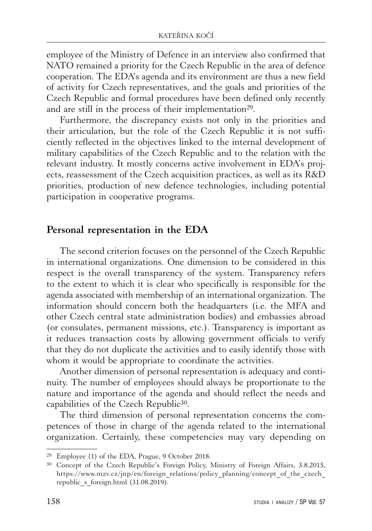employee of the Ministry of Defence in an interview also confirmed that NATO remained a priority for the Czech Republic in the area of defence cooperation. The EDA's agenda and its environment are thus a new field of activity for Czech representatives, and the goals and priorities of the Czech Republic and formal procedures have been defined only recently and are still in the process of their implementation<sup>29</sup>.

Furthermore, the discrepancy exists not only in the priorities and their articulation, but the role of the Czech Republic it is not sufficiently reflected in the objectives linked to the internal development of military capabilities of the Czech Republic and to the relation with the relevant industry. It mostly concerns active involvement in EDA's projects, reassessment of the Czech acquisition practices, as well as its R&D priorities, production of new defence technologies, including potential participation in cooperative programs.

#### **Personal representation in the EDA**

The second criterion focuses on the personnel of the Czech Republic in international organizations. One dimension to be considered in this respect is the overall transparency of the system. Transparency refers to the extent to which it is clear who specifically is responsible for the agenda associated with membership of an international organization. The information should concern both the headquarters (i.e. the MFA and other Czech central state administration bodies) and embassies abroad (or consulates, permanent missions, etc.). Transparency is important as it reduces transaction costs by allowing government officials to verify that they do not duplicate the activities and to easily identify those with whom it would be appropriate to coordinate the activities.

Another dimension of personal representation is adequacy and continuity. The number of employees should always be proportionate to the nature and importance of the agenda and should reflect the needs and capabilities of the Czech Republic30.

The third dimension of personal representation concerns the competences of those in charge of the agenda related to the international organization. Certainly, these competencies may vary depending on

<sup>29</sup> Employee (1) of the EDA, Prague, 9 October 2018.

<sup>30</sup> Concept of the Czech Republic's Foreign Policy, Ministry of Foreign Affairs, 3.8.2015, https://www.mzv.cz/jnp/en/foreign\_relations/policy\_planning/concept\_of\_the\_czech\_ republic s foreign.html (31.08.2019).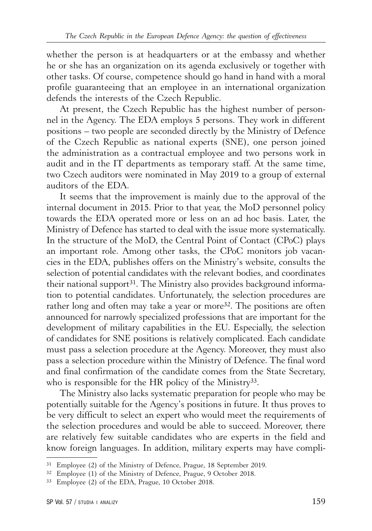whether the person is at headquarters or at the embassy and whether he or she has an organization on its agenda exclusively or together with other tasks. Of course, competence should go hand in hand with a moral profile guaranteeing that an employee in an international organization defends the interests of the Czech Republic.

At present, the Czech Republic has the highest number of personnel in the Agency. The EDA employs 5 persons. They work in different positions – two people are seconded directly by the Ministry of Defence of the Czech Republic as national experts (SNE), one person joined the administration as a contractual employee and two persons work in audit and in the IT departments as temporary staff. At the same time, two Czech auditors were nominated in May 2019 to a group of external auditors of the EDA.

It seems that the improvement is mainly due to the approval of the internal document in 2015. Prior to that year, the MoD personnel policy towards the EDA operated more or less on an ad hoc basis. Later, the Ministry of Defence has started to deal with the issue more systematically. In the structure of the MoD, the Central Point of Contact (CPoC) plays an important role. Among other tasks, the CPoC monitors job vacancies in the EDA, publishes offers on the Ministry's website, consults the selection of potential candidates with the relevant bodies, and coordinates their national support<sup>31</sup>. The Ministry also provides background information to potential candidates. Unfortunately, the selection procedures are rather long and often may take a year or more<sup>32</sup>. The positions are often announced for narrowly specialized professions that are important for the development of military capabilities in the EU. Especially, the selection of candidates for SNE positions is relatively complicated. Each candidate must pass a selection procedure at the Agency. Moreover, they must also pass a selection procedure within the Ministry of Defence. The final word and final confirmation of the candidate comes from the State Secretary, who is responsible for the HR policy of the Ministry<sup>33</sup>.

The Ministry also lacks systematic preparation for people who may be potentially suitable for the Agency's positions in future. It thus proves to be very difficult to select an expert who would meet the requirements of the selection procedures and would be able to succeed. Moreover, there are relatively few suitable candidates who are experts in the field and know foreign languages. In addition, military experts may have compli-

<sup>31</sup> Employee (2) of the Ministry of Defence, Prague, 18 September 2019.

<sup>32</sup> Employee (1) of the Ministry of Defence, Prague, 9 October 2018.

<sup>33</sup> Employee (2) of the EDA, Prague, 10 October 2018.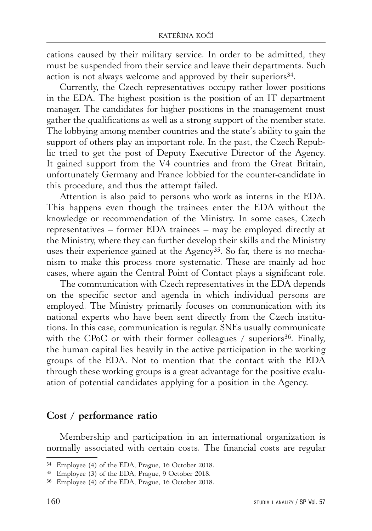cations caused by their military service. In order to be admitted, they must be suspended from their service and leave their departments. Such action is not always welcome and approved by their superiors<sup>34</sup>.

Currently, the Czech representatives occupy rather lower positions in the EDA. The highest position is the position of an IT department manager. The candidates for higher positions in the management must gather the qualifications as well as a strong support of the member state. The lobbying among member countries and the state's ability to gain the support of others play an important role. In the past, the Czech Republic tried to get the post of Deputy Executive Director of the Agency. It gained support from the V4 countries and from the Great Britain, unfortunately Germany and France lobbied for the counter-candidate in this procedure, and thus the attempt failed.

Attention is also paid to persons who work as interns in the EDA. This happens even though the trainees enter the EDA without the knowledge or recommendation of the Ministry. In some cases, Czech representatives – former EDA trainees – may be employed directly at the Ministry, where they can further develop their skills and the Ministry uses their experience gained at the Agency<sup>35</sup>. So far, there is no mechanism to make this process more systematic. These are mainly ad hoc cases, where again the Central Point of Contact plays a significant role.

The communication with Czech representatives in the EDA depends on the specific sector and agenda in which individual persons are employed. The Ministry primarily focuses on communication with its national experts who have been sent directly from the Czech institutions. In this case, communication is regular. SNEs usually communicate with the CPoC or with their former colleagues  $/$  superiors<sup>36</sup>. Finally, the human capital lies heavily in the active participation in the working groups of the EDA. Not to mention that the contact with the EDA through these working groups is a great advantage for the positive evaluation of potential candidates applying for a position in the Agency.

#### **Cost / performance ratio**

Membership and participation in an international organization is normally associated with certain costs. The financial costs are regular

<sup>34</sup> Employee (4) of the EDA, Prague, 16 October 2018.

<sup>35</sup> Employee (3) of the EDA, Prague, 9 October 2018.

<sup>36</sup> Employee (4) of the EDA, Prague, 16 October 2018.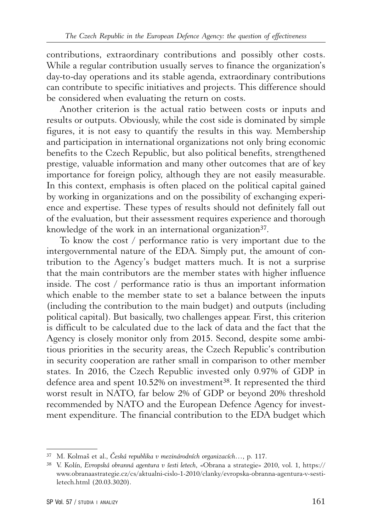contributions, extraordinary contributions and possibly other costs. While a regular contribution usually serves to finance the organization's day-to-day operations and its stable agenda, extraordinary contributions can contribute to specific initiatives and projects. This difference should be considered when evaluating the return on costs.

Another criterion is the actual ratio between costs or inputs and results or outputs. Obviously, while the cost side is dominated by simple figures, it is not easy to quantify the results in this way. Membership and participation in international organizations not only bring economic benefits to the Czech Republic, but also political benefits, strengthened prestige, valuable information and many other outcomes that are of key importance for foreign policy, although they are not easily measurable. In this context, emphasis is often placed on the political capital gained by working in organizations and on the possibility of exchanging experience and expertise. These types of results should not definitely fall out of the evaluation, but their assessment requires experience and thorough knowledge of the work in an international organization<sup>37</sup>.

To know the cost / performance ratio is very important due to the intergovernmental nature of the EDA. Simply put, the amount of contribution to the Agency's budget matters much. It is not a surprise that the main contributors are the member states with higher influence inside. The cost / performance ratio is thus an important information which enable to the member state to set a balance between the inputs (including the contribution to the main budget) and outputs (including political capital). But basically, two challenges appear. First, this criterion is difficult to be calculated due to the lack of data and the fact that the Agency is closely monitor only from 2015. Second, despite some ambitious priorities in the security areas, the Czech Republic's contribution in security cooperation are rather small in comparison to other member states. In 2016, the Czech Republic invested only 0.97% of GDP in defence area and spent 10.52% on investment<sup>38</sup>. It represented the third worst result in NATO, far below 2% of GDP or beyond 20% threshold recommended by NATO and the European Defence Agency for investment expenditure. The financial contribution to the EDA budget which

<sup>37</sup> M. Kolmaš et al., *Česká republika v mezinárodních organizacích…*, p. 117.

<sup>38</sup> V. Kolín, *Evropská obranná agentura v šesti letech*, «Obrana a strategie» 2010, vol. 1, https:// www.obranaastrategie.cz/cs/aktualni-cislo-1-2010/clanky/evropska-obranna-agentura-v-sestiletech.html (20.03.3020).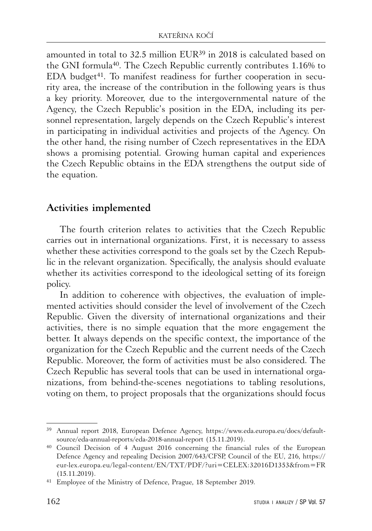amounted in total to 32.5 million EUR39 in 2018 is calculated based on the GNI formula40. The Czech Republic currently contributes 1.16% to EDA budget<sup>41</sup>. To manifest readiness for further cooperation in security area, the increase of the contribution in the following years is thus a key priority. Moreover, due to the intergovernmental nature of the Agency, the Czech Republic's position in the EDA, including its personnel representation, largely depends on the Czech Republic's interest in participating in individual activities and projects of the Agency. On the other hand, the rising number of Czech representatives in the EDA shows a promising potential. Growing human capital and experiences the Czech Republic obtains in the EDA strengthens the output side of the equation.

## **Activities implemented**

The fourth criterion relates to activities that the Czech Republic carries out in international organizations. First, it is necessary to assess whether these activities correspond to the goals set by the Czech Republic in the relevant organization. Specifically, the analysis should evaluate whether its activities correspond to the ideological setting of its foreign policy.

In addition to coherence with objectives, the evaluation of implemented activities should consider the level of involvement of the Czech Republic. Given the diversity of international organizations and their activities, there is no simple equation that the more engagement the better. It always depends on the specific context, the importance of the organization for the Czech Republic and the current needs of the Czech Republic. Moreover, the form of activities must be also considered. The Czech Republic has several tools that can be used in international organizations, from behind-the-scenes negotiations to tabling resolutions, voting on them, to project proposals that the organizations should focus

<sup>39</sup> Annual report 2018, European Defence Agency, https://www.eda.europa.eu/docs/defaultsource/eda-annual-reports/eda-2018-annual-report (15.11.2019).

<sup>40</sup> Council Decision of 4 August 2016 concerning the financial rules of the European Defence Agency and repealing Decision 2007/643/CFSP, Council of the EU, 216, https:// eur-lex.europa.eu/legal-content/EN/TXT/PDF/?uri=CELEX:32016D1353&from=FR (15.11.2019).

<sup>41</sup> Employee of the Ministry of Defence, Prague, 18 September 2019.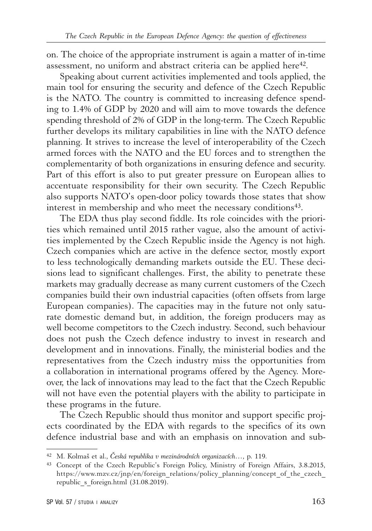on. The choice of the appropriate instrument is again a matter of in-time assessment, no uniform and abstract criteria can be applied here<sup>42</sup>.

Speaking about current activities implemented and tools applied, the main tool for ensuring the security and defence of the Czech Republic is the NATO. The country is committed to increasing defence spending to 1.4% of GDP by 2020 and will aim to move towards the defence spending threshold of 2% of GDP in the long-term. The Czech Republic further develops its military capabilities in line with the NATO defence planning. It strives to increase the level of interoperability of the Czech armed forces with the NATO and the EU forces and to strengthen the complementarity of both organizations in ensuring defence and security. Part of this effort is also to put greater pressure on European allies to accentuate responsibility for their own security. The Czech Republic also supports NATO's open-door policy towards those states that show interest in membership and who meet the necessary conditions<sup>43</sup>.

The EDA thus play second fiddle. Its role coincides with the priorities which remained until 2015 rather vague, also the amount of activities implemented by the Czech Republic inside the Agency is not high. Czech companies which are active in the defence sector, mostly export to less technologically demanding markets outside the EU. These decisions lead to significant challenges. First, the ability to penetrate these markets may gradually decrease as many current customers of the Czech companies build their own industrial capacities (often offsets from large European companies). The capacities may in the future not only saturate domestic demand but, in addition, the foreign producers may as well become competitors to the Czech industry. Second, such behaviour does not push the Czech defence industry to invest in research and development and in innovations. Finally, the ministerial bodies and the representatives from the Czech industry miss the opportunities from a collaboration in international programs offered by the Agency. Moreover, the lack of innovations may lead to the fact that the Czech Republic will not have even the potential players with the ability to participate in these programs in the future.

The Czech Republic should thus monitor and support specific projects coordinated by the EDA with regards to the specifics of its own defence industrial base and with an emphasis on innovation and sub-

<sup>42</sup> M. Kolmaš et al., *Česká republika v mezinárodních organizacích…*, p. 119.

<sup>43</sup> Concept of the Czech Republic's Foreign Policy, Ministry of Foreign Affairs, 3.8.2015, https://www.mzv.cz/jnp/en/foreign\_relations/policy\_planning/concept\_of\_the\_czech\_ republic s foreign.html (31.08.2019).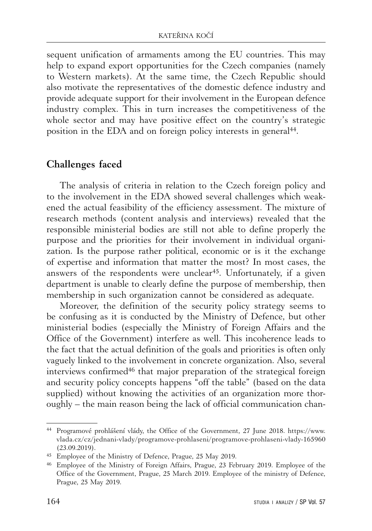sequent unification of armaments among the EU countries. This may help to expand export opportunities for the Czech companies (namely to Western markets). At the same time, the Czech Republic should also motivate the representatives of the domestic defence industry and provide adequate support for their involvement in the European defence industry complex. This in turn increases the competitiveness of the whole sector and may have positive effect on the country's strategic position in the EDA and on foreign policy interests in general<sup>44</sup>.

#### **Challenges faced**

The analysis of criteria in relation to the Czech foreign policy and to the involvement in the EDA showed several challenges which weakened the actual feasibility of the efficiency assessment. The mixture of research methods (content analysis and interviews) revealed that the responsible ministerial bodies are still not able to define properly the purpose and the priorities for their involvement in individual organization. Is the purpose rather political, economic or is it the exchange of expertise and information that matter the most? In most cases, the answers of the respondents were unclear<sup>45</sup>. Unfortunately, if a given department is unable to clearly define the purpose of membership, then membership in such organization cannot be considered as adequate.

Moreover, the definition of the security policy strategy seems to be confusing as it is conducted by the Ministry of Defence, but other ministerial bodies (especially the Ministry of Foreign Affairs and the Office of the Government) interfere as well. This incoherence leads to the fact that the actual definition of the goals and priorities is often only vaguely linked to the involvement in concrete organization. Also, several interviews confirmed<sup>46</sup> that major preparation of the strategical foreign and security policy concepts happens "off the table" (based on the data supplied) without knowing the activities of an organization more thoroughly – the main reason being the lack of official communication chan-

<sup>44</sup> Programové prohlášení vlády, the Office of the Government, 27 June 2018. https://www. vlada.cz/cz/jednani-vlady/programove-prohlaseni/programove-prohlaseni-vlady-165960 (23.09.2019).

<sup>45</sup> Employee of the Ministry of Defence, Prague, 25 May 2019.

<sup>46</sup> Employee of the Ministry of Foreign Affairs, Prague, 23 February 2019. Employee of the Office of the Government, Prague, 25 March 2019. Employee of the ministry of Defence, Prague, 25 May 2019.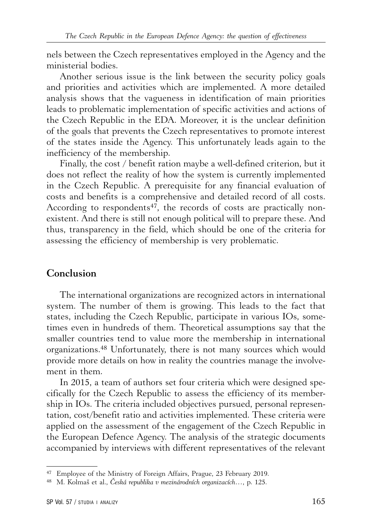nels between the Czech representatives employed in the Agency and the ministerial bodies.

Another serious issue is the link between the security policy goals and priorities and activities which are implemented. A more detailed analysis shows that the vagueness in identification of main priorities leads to problematic implementation of specific activities and actions of the Czech Republic in the EDA. Moreover, it is the unclear definition of the goals that prevents the Czech representatives to promote interest of the states inside the Agency. This unfortunately leads again to the inefficiency of the membership.

Finally, the cost / benefit ration maybe a well-defined criterion, but it does not reflect the reality of how the system is currently implemented in the Czech Republic. A prerequisite for any financial evaluation of costs and benefits is a comprehensive and detailed record of all costs. According to respondents<sup>47</sup>, the records of costs are practically nonexistent. And there is still not enough political will to prepare these. And thus, transparency in the field, which should be one of the criteria for assessing the efficiency of membership is very problematic.

#### **Conclusion**

The international organizations are recognized actors in international system. The number of them is growing. This leads to the fact that states, including the Czech Republic, participate in various IOs, sometimes even in hundreds of them. Theoretical assumptions say that the smaller countries tend to value more the membership in international organizations.48 Unfortunately, there is not many sources which would provide more details on how in reality the countries manage the involvement in them.

In 2015, a team of authors set four criteria which were designed specifically for the Czech Republic to assess the efficiency of its membership in IOs. The criteria included objectives pursued, personal representation, cost/benefit ratio and activities implemented. These criteria were applied on the assessment of the engagement of the Czech Republic in the European Defence Agency. The analysis of the strategic documents accompanied by interviews with different representatives of the relevant

<sup>47</sup> Employee of the Ministry of Foreign Affairs, Prague, 23 February 2019.

<sup>48</sup> M. Kolmaš et al., *Česká republika v mezinárodních organizacích…*, p. 125.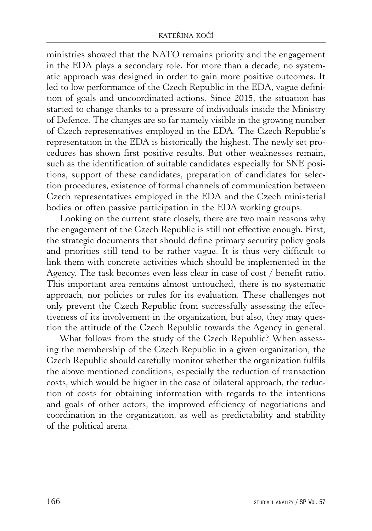ministries showed that the NATO remains priority and the engagement in the EDA plays a secondary role. For more than a decade, no systematic approach was designed in order to gain more positive outcomes. It led to low performance of the Czech Republic in the EDA, vague definition of goals and uncoordinated actions. Since 2015, the situation has started to change thanks to a pressure of individuals inside the Ministry of Defence. The changes are so far namely visible in the growing number of Czech representatives employed in the EDA. The Czech Republic's representation in the EDA is historically the highest. The newly set procedures has shown first positive results. But other weaknesses remain, such as the identification of suitable candidates especially for SNE positions, support of these candidates, preparation of candidates for selection procedures, existence of formal channels of communication between Czech representatives employed in the EDA and the Czech ministerial bodies or often passive participation in the EDA working groups.

Looking on the current state closely, there are two main reasons why the engagement of the Czech Republic is still not effective enough. First, the strategic documents that should define primary security policy goals and priorities still tend to be rather vague. It is thus very difficult to link them with concrete activities which should be implemented in the Agency. The task becomes even less clear in case of cost / benefit ratio. This important area remains almost untouched, there is no systematic approach, nor policies or rules for its evaluation. These challenges not only prevent the Czech Republic from successfully assessing the effectiveness of its involvement in the organization, but also, they may question the attitude of the Czech Republic towards the Agency in general.

What follows from the study of the Czech Republic? When assessing the membership of the Czech Republic in a given organization, the Czech Republic should carefully monitor whether the organization fulfils the above mentioned conditions, especially the reduction of transaction costs, which would be higher in the case of bilateral approach, the reduction of costs for obtaining information with regards to the intentions and goals of other actors, the improved efficiency of negotiations and coordination in the organization, as well as predictability and stability of the political arena.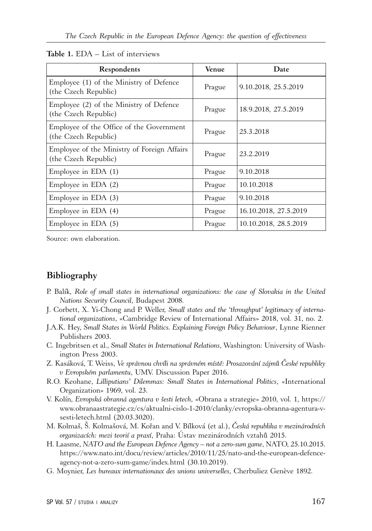| Respondents                                                         | Venue  | Date                  |
|---------------------------------------------------------------------|--------|-----------------------|
| Employee (1) of the Ministry of Defence<br>(the Czech Republic)     | Prague | 9.10.2018, 25.5.2019  |
| Employee (2) of the Ministry of Defence<br>(the Czech Republic)     | Prague | 18.9.2018, 27.5.2019  |
| Employee of the Office of the Government<br>(the Czech Republic)    | Prague | 25.3.2018             |
| Employee of the Ministry of Foreign Affairs<br>(the Czech Republic) | Prague | 23.2.2019             |
| Employee in EDA $(1)$                                               | Prague | 9.10.2018             |
| Employee in EDA $(2)$                                               | Prague | 10.10.2018            |
| Employee in EDA $(3)$                                               | Prague | 9.10.2018             |
| Employee in EDA (4)                                                 | Prague | 16.10.2018, 27.5.2019 |
| Employee in EDA $(5)$                                               | Prague | 10.10.2018, 28.5.2019 |

#### **Table 1.** EDA – List of interviews

Source: own elaboration.

#### **Bibliography**

- P. Balík, *Role of small states in international organizations: the case of Slovakia in the United Nations Security Council*, Budapest 2008.
- J. Corbett, X. Yi-Chong and P. Weller, *Small states and the 'throughput' legitimacy of international organizations*, «Cambridge Review of International Affairs» 2018, vol. 31, no. 2.
- J.A.K. Hey, *Small States in World Politics. Explaining Foreign Policy Behaviour*, Lynne Rienner Publishers 2003.
- C. Ingebritsen et al., *Small States in International Relations*, Washington: University of Washington Press 2003.
- Z. Kasáková, T. Weiss, *Ve správnou chvíli na správném místě: Prosazování zájmů České republiky v Evropském parlamentu*, UMV. Discussion Paper 2016.
- R.O. Keohane, *Lilliputians' Dilemmas: Small States in International Politics*, «International Organization» 1969, vol. 23.
- V. Kolín, *Evropská obranná agentura v šesti letech*, «Obrana a strategie» 2010, vol. 1, https:// www.obranaastrategie.cz/cs/aktualni-cislo-1-2010/clanky/evropska-obranna-agentura-vsesti-letech.html (20.03.3020).
- M. Kolmaš, Š. Kolmašová, M. Kořan and V. Bílková (et al.), *Česká republika v mezinárodních organizacích: mezi teorií a praxí*, Praha: Ústav mezinárodních vztahů 2015.
- H. Laasme, *NATO and the European Defence Agency not a zero-sum game*, NATO, 25.10.2015. https://www.nato.int/docu/review/articles/2010/11/25/nato-and-the-european-defenceagency-not-a-zero-sum-game/index.html (30.10.2019).
- G. Moynier, *Les bureaux internationaux des unions universelles*, Cherbuliez Genève 1892.